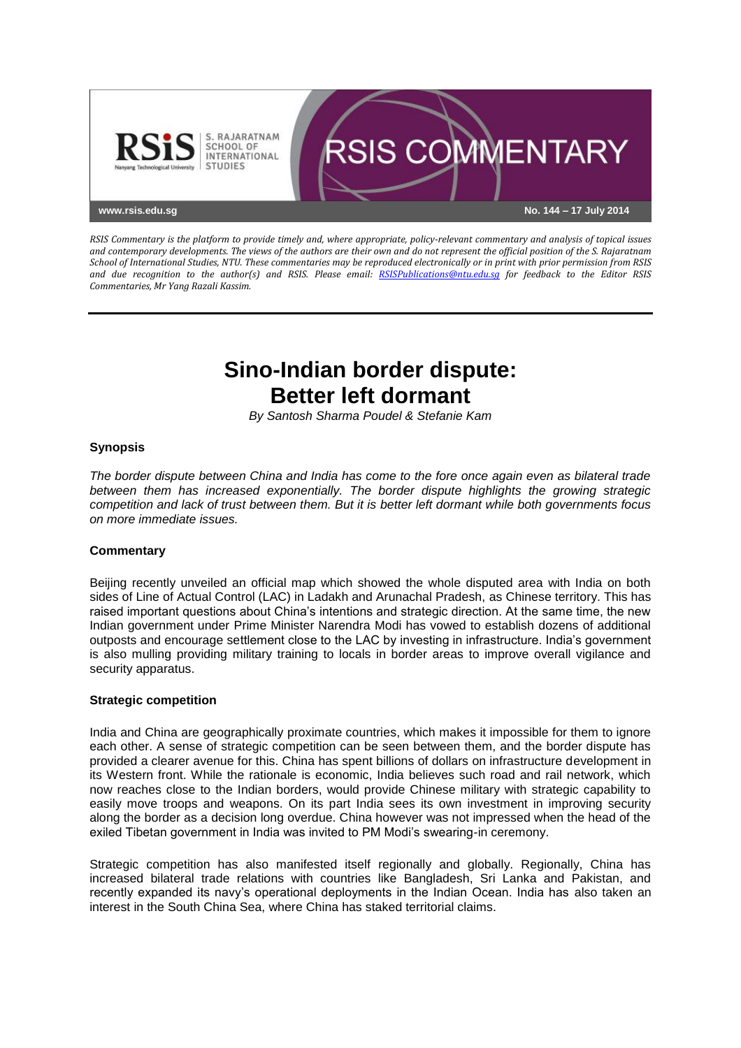

*RSIS Commentary is the platform to provide timely and, where appropriate, policy-relevant commentary and analysis of topical issues and contemporary developments. The views of the authors are their own and do not represent the official position of the S. Rajaratnam School of International Studies, NTU. These commentaries may be reproduced electronically or in print with prior permission from RSIS and due recognition to the author(s) and RSIS. Please email: [RSISPublications@ntu.edu.sg](mailto:RSISPublications@ntu.edu.sg) for feedback to the Editor RSIS Commentaries, Mr Yang Razali Kassim.*

# **Sino-Indian border dispute: Better left dormant**

*By Santosh Sharma Poudel & Stefanie Kam*

# **Synopsis**

*The border dispute between China and India has come to the fore once again even as bilateral trade between them has increased exponentially. The border dispute highlights the growing strategic competition and lack of trust between them. But it is better left dormant while both governments focus on more immediate issues.*

#### **Commentary**

Beijing recently unveiled an official map which showed the whole disputed area with India on both sides of Line of Actual Control (LAC) in Ladakh and Arunachal Pradesh, as Chinese territory. This has raised important questions about China's intentions and strategic direction. At the same time, the new Indian government under Prime Minister Narendra Modi has vowed to establish dozens of additional outposts and encourage settlement close to the LAC by investing in infrastructure. India's government is also mulling providing military training to locals in border areas to improve overall vigilance and security apparatus.

#### **Strategic competition**

India and China are geographically proximate countries, which makes it impossible for them to ignore each other. A sense of strategic competition can be seen between them, and the border dispute has provided a clearer avenue for this. China has spent billions of dollars on infrastructure development in its Western front. While the rationale is economic, India believes such road and rail network, which now reaches close to the Indian borders, would provide Chinese military with strategic capability to easily move troops and weapons. On its part India sees its own investment in improving security along the border as a decision long overdue. China however was not impressed when the head of the exiled Tibetan government in India was invited to PM Modi's swearing-in ceremony.

Strategic competition has also manifested itself regionally and globally. Regionally, China has increased bilateral trade relations with countries like Bangladesh, Sri Lanka and Pakistan, and recently expanded its navy's operational deployments in the Indian Ocean. India has also taken an interest in the South China Sea, where China has staked territorial claims.